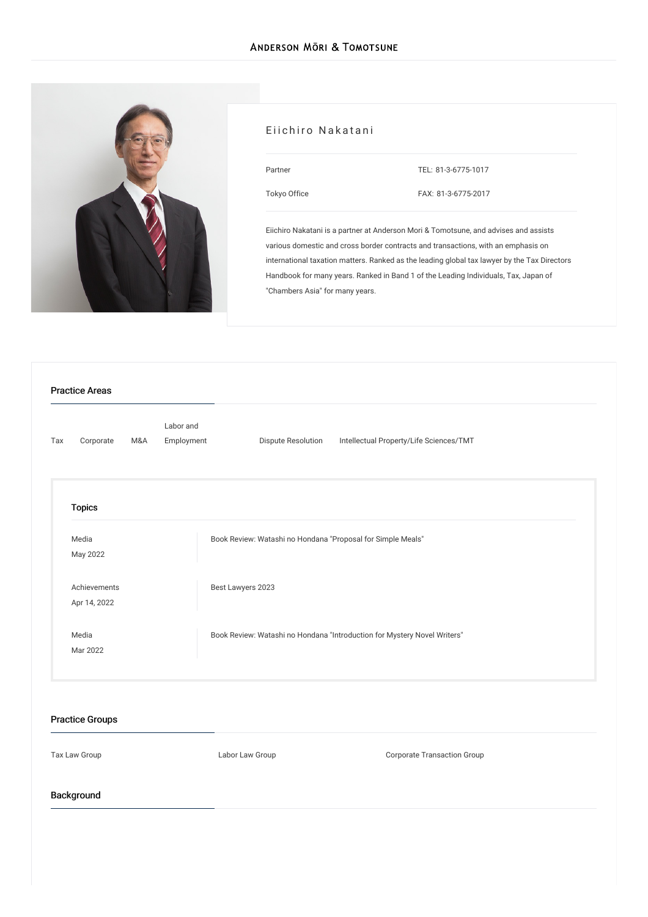

#### Eiichiro Nakatani

| Partner      |  |
|--------------|--|
| Tokyo Office |  |

TEL: [81-3-6775-1017](tel:81-3-6775-1017)

FAX: 81-3-6775-2017

Eiichiro Nakatani is a partner at Anderson Mori & Tomotsune, and advises and assists various domestic and cross border contracts and transactions, with an emphasis on international taxation matters. Ranked as the leading global tax lawyer by the Tax Directors Handbook for many years. Ranked in Band 1 of the Leading Individuals, Tax, Japan of "Chambers Asia" for many years.

| Tax | Corporate                    | M&A | Employment | Dispute Resolution<br>Intellectual Property/Life Sciences/TMT            |
|-----|------------------------------|-----|------------|--------------------------------------------------------------------------|
|     | <b>Topics</b>                |     |            |                                                                          |
|     | Media<br>May 2022            |     |            | Book Review: Watashi no Hondana "Proposal for Simple Meals"              |
|     | Achievements<br>Apr 14, 2022 |     |            | Best Lawyers 2023                                                        |
|     | Media<br>Mar 2022            |     |            | Book Review: Watashi no Hondana "Introduction for Mystery Novel Writers" |

Tax Law Group **Labor Law Group** Corporate Transaction Group

# Background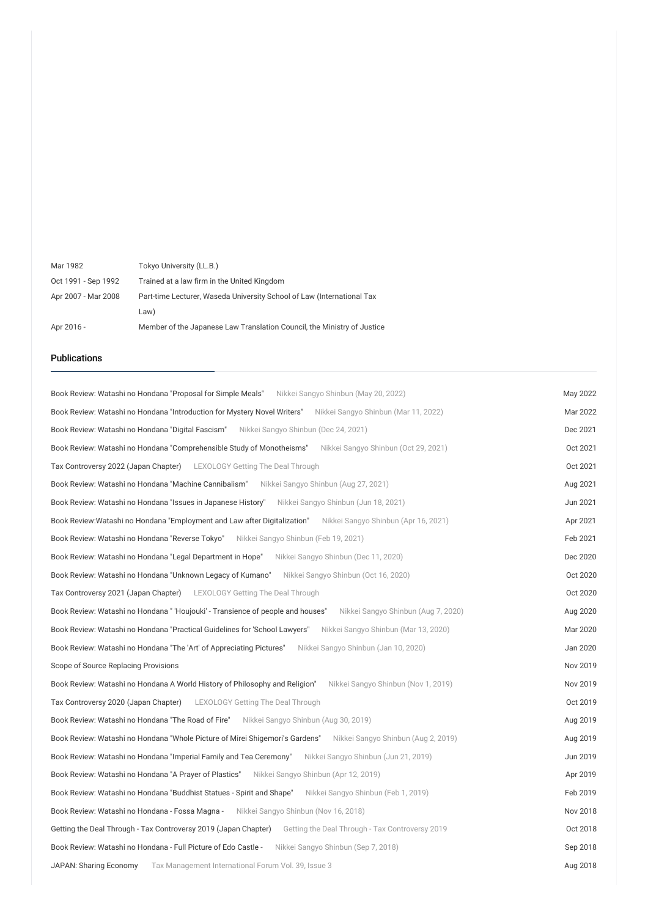| Mar 1982            | Tokyo University (LL.B.)                                                |
|---------------------|-------------------------------------------------------------------------|
| Oct 1991 - Sep 1992 | Trained at a law firm in the United Kingdom                             |
| Apr 2007 - Mar 2008 | Part-time Lecturer, Waseda University School of Law (International Tax  |
|                     | Law)                                                                    |
| Apr 2016 -          | Member of the Japanese Law Translation Council, the Ministry of Justice |

## Publications

| Book Review: Watashi no Hondana "Proposal for Simple Meals" Nikkei Sangyo Shinbun (May 20, 2022)                       | May 2022 |
|------------------------------------------------------------------------------------------------------------------------|----------|
| Book Review: Watashi no Hondana "Introduction for Mystery Novel Writers"<br>Nikkei Sangyo Shinbun (Mar 11, 2022)       | Mar 2022 |
| Book Review: Watashi no Hondana "Digital Fascism" Nikkei Sangyo Shinbun (Dec 24, 2021)                                 | Dec 2021 |
| Book Review: Watashi no Hondana "Comprehensible Study of Monotheisms" Nikkei Sangyo Shinbun (Oct 29, 2021)             | Oct 2021 |
| Tax Controversy 2022 (Japan Chapter) LEXOLOGY Getting The Deal Through                                                 | Oct 2021 |
| Book Review: Watashi no Hondana "Machine Cannibalism" Nikkei Sangyo Shinbun (Aug 27, 2021)                             | Aug 2021 |
| Book Review: Watashi no Hondana "Issues in Japanese History" Nikkei Sangyo Shinbun (Jun 18, 2021)                      | Jun 2021 |
| Book Review:Watashi no Hondana "Employment and Law after Digitalization" Nikkei Sangyo Shinbun (Apr 16, 2021)          | Apr 2021 |
| <b>Book Review: Watashi no Hondana "Reverse Tokyo"</b> Nikkei Sangyo Shinbun (Feb 19, 2021)                            | Feb 2021 |
| Book Review: Watashi no Hondana "Legal Department in Hope" Nikkei Sangyo Shinbun (Dec 11, 2020)                        | Dec 2020 |
| Book Review: Watashi no Hondana "Unknown Legacy of Kumano" Nikkei Sangyo Shinbun (Oct 16, 2020)                        | Oct 2020 |
| Tax Controversy 2021 (Japan Chapter) LEXOLOGY Getting The Deal Through                                                 | Oct 2020 |
| Book Review: Watashi no Hondana " 'Houjouki' - Transience of people and houses"<br>Nikkei Sangyo Shinbun (Aug 7, 2020) | Aug 2020 |
| Book Review: Watashi no Hondana "Practical Guidelines for 'School Lawyers"<br>Nikkei Sangyo Shinbun (Mar 13, 2020)     | Mar 2020 |
| Book Review: Watashi no Hondana "The 'Art' of Appreciating Pictures"<br>Nikkei Sangyo Shinbun (Jan 10, 2020)           | Jan 2020 |
| Scope of Source Replacing Provisions                                                                                   | Nov 2019 |
| Nikkei Sangyo Shinbun (Nov 1, 2019)<br>Book Review: Watashi no Hondana A World History of Philosophy and Religion"     | Nov 2019 |
| <b>Tax Controversy 2020 (Japan Chapter)</b> LEXOLOGY Getting The Deal Through                                          | Oct 2019 |
| Book Review: Watashi no Hondana "The Road of Fire" Nikkei Sangyo Shinbun (Aug 30, 2019)                                | Aug 2019 |
| Book Review: Watashi no Hondana "Whole Picture of Mirei Shigemori's Gardens" Nikkei Sangyo Shinbun (Aug 2, 2019)       | Aug 2019 |
| Book Review: Watashi no Hondana "Imperial Family and Tea Ceremony" Nikkei Sangyo Shinbun (Jun 21, 2019)                | Jun 2019 |
| Book Review: Watashi no Hondana "A Prayer of Plastics" Nikkei Sangyo Shinbun (Apr 12, 2019)                            | Apr 2019 |
| Book Review: Watashi no Hondana "Buddhist Statues - Spirit and Shape"<br>Nikkei Sangyo Shinbun (Feb 1, 2019)           | Feb 2019 |
| Book Review: Watashi no Hondana - Fossa Magna - Nikkei Sangyo Shinbun (Nov 16, 2018)                                   | Nov 2018 |
| Getting the Deal Through - Tax Controversy 2019 (Japan Chapter) Getting the Deal Through - Tax Controversy 2019        | Oct 2018 |
| Book Review: Watashi no Hondana - Full Picture of Edo Castle - Nikkei Sangyo Shinbun (Sep 7, 2018)                     | Sep 2018 |
| JAPAN: Sharing Economy<br>Tax Management International Forum Vol. 39, Issue 3                                          | Aug 2018 |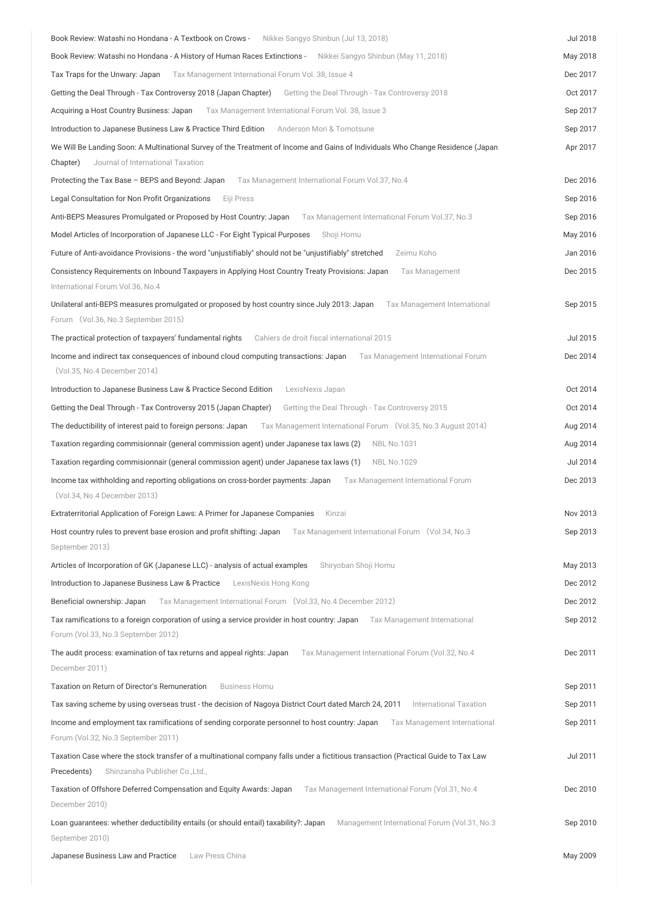| Book Review: Watashi no Hondana - A Textbook on Crows -<br>Nikkei Sangyo Shinbun (Jul 13, 2018)                                                                                      | <b>Jul 2018</b> |
|--------------------------------------------------------------------------------------------------------------------------------------------------------------------------------------|-----------------|
| Book Review: Watashi no Hondana - A History of Human Races Extinctions - Nikkei Sangyo Shinbun (May 11, 2018)                                                                        | May 2018        |
| Tax Traps for the Unwary: Japan Tax Management International Forum Vol. 38, Issue 4                                                                                                  | Dec 2017        |
| Getting the Deal Through - Tax Controversy 2018 (Japan Chapter) Getting the Deal Through - Tax Controversy 2018                                                                      | Oct 2017        |
| Acquiring a Host Country Business: Japan Tax Management International Forum Vol. 38, Issue 3                                                                                         | Sep 2017        |
| Introduction to Japanese Business Law & Practice Third Edition<br>Anderson Mori & Tomotsune                                                                                          | Sep 2017        |
| We Will Be Landing Soon: A Multinational Survey of the Treatment of Income and Gains of Individuals Who Change Residence (Japan                                                      | Apr 2017        |
| Journal of International Taxation<br>Chapter)                                                                                                                                        |                 |
| Protecting the Tax Base - BEPS and Beyond: Japan<br>Tax Management International Forum Vol.37, No.4                                                                                  | Dec 2016        |
| Legal Consultation for Non Profit Organizations<br>Eiji Press                                                                                                                        | Sep 2016        |
| Anti-BEPS Measures Promulgated or Proposed by Host Country: Japan Tax Management International Forum Vol.37, No.3                                                                    | Sep 2016        |
| Model Articles of Incorporation of Japanese LLC - For Eight Typical Purposes<br>Shoji Homu                                                                                           | May 2016        |
| Future of Anti-avoidance Provisions - the word "unjustifiably" should not be "unjustifiably" stretched<br>Zeimu Koho                                                                 | Jan 2016        |
| Consistency Requirements on Inbound Taxpayers in Applying Host Country Treaty Provisions: Japan<br><b>Tax Management</b>                                                             | Dec 2015        |
| International Forum Vol.36, No.4                                                                                                                                                     |                 |
| Unilateral anti-BEPS measures promulgated or proposed by host country since July 2013: Japan<br>Tax Management International                                                         | Sep 2015        |
| Forum (Vol.36, No.3 September 2015)                                                                                                                                                  |                 |
| The practical protection of taxpayers' fundamental rights<br>Cahiers de droit fiscal international 2015                                                                              | Jul 2015        |
| Income and indirect tax consequences of inbound cloud computing transactions: Japan<br>Tax Management International Forum                                                            | Dec 2014        |
| (Vol.35, No.4 December 2014)                                                                                                                                                         |                 |
| Introduction to Japanese Business Law & Practice Second Edition<br>LexisNexis Japan                                                                                                  | Oct 2014        |
| Getting the Deal Through - Tax Controversy 2015 (Japan Chapter)<br>Getting the Deal Through - Tax Controversy 2015                                                                   | Oct 2014        |
| The deductibility of interest paid to foreign persons: Japan<br>Tax Management International Forum (Vol.35, No.3 August 2014)                                                        | Aug 2014        |
| Taxation regarding commisionnair (general commission agent) under Japanese tax laws (2)<br><b>NBL No.1031</b>                                                                        | Aug 2014        |
| Taxation regarding commisionnair (general commission agent) under Japanese tax laws (1)<br><b>NBL No.1029</b>                                                                        | Jul 2014        |
| Income tax withholding and reporting obligations on cross-border payments: Japan<br>Tax Management International Forum                                                               | Dec 2013        |
| (Vol.34, No.4 December 2013)                                                                                                                                                         |                 |
| Extraterritorial Application of Foreign Laws: A Primer for Japanese Companies<br>Kinzai                                                                                              | Nov 2013        |
| Host country rules to prevent base erosion and profit shifting: Japan<br>Tax Management International Forum (Vol.34, No.3                                                            | Sep 2013        |
| September 2013)                                                                                                                                                                      |                 |
| Articles of Incorporation of GK (Japanese LLC) - analysis of actual examples<br>Shiryoban Shoji Homu                                                                                 | May 2013        |
| Introduction to Japanese Business Law & Practice<br>LexisNexis Hong Kong                                                                                                             | Dec 2012        |
| Beneficial ownership: Japan<br>Tax Management International Forum (Vol.33, No.4 December 2012)                                                                                       | Dec 2012        |
| Tax ramifications to a foreign corporation of using a service provider in host country: Japan<br>Tax Management International                                                        | Sep 2012        |
| Forum (Vol.33, No.3 September 2012)                                                                                                                                                  |                 |
| The audit process: examination of tax returns and appeal rights: Japan<br>Tax Management International Forum (Vol.32, No.4                                                           | Dec 2011        |
| December 2011)                                                                                                                                                                       |                 |
| Taxation on Return of Director's Remuneration<br><b>Business Homu</b>                                                                                                                | Sep 2011        |
| Tax saving scheme by using overseas trust - the decision of Nagoya District Court dated March 24, 2011 International Taxation                                                        | Sep 2011        |
| Income and employment tax ramifications of sending corporate personnel to host country: Japan<br>Tax Management International<br>Forum (Vol.32, No.3 September 2011)                 | Sep 2011        |
| Taxation Case where the stock transfer of a multinational company falls under a fictitious transaction (Practical Guide to Tax Law<br>Precedents)<br>Shinzansha Publisher Co., Ltd., | Jul 2011        |
| Taxation of Offshore Deferred Compensation and Equity Awards: Japan<br>Tax Management International Forum (Vol.31, No.4<br>December 2010)                                            | Dec 2010        |
| Loan guarantees: whether deductibility entails (or should entail) taxability?: Japan<br>Management International Forum (Vol.31, No.3<br>September 2010)                              | Sep 2010        |
| Japanese Business Law and Practice<br>Law Press China                                                                                                                                | May 2009        |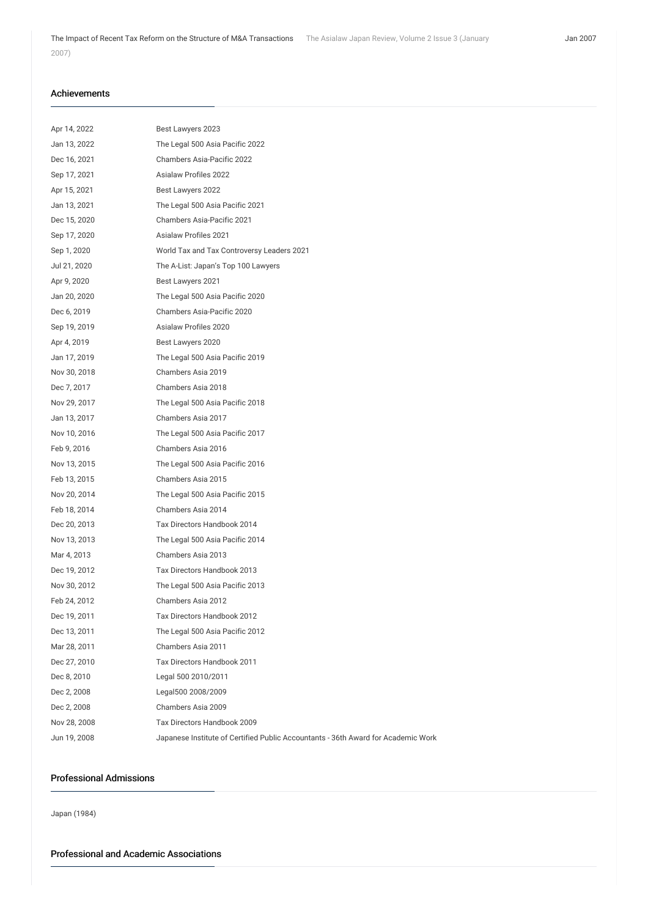#### Achievements

| Apr 14, 2022 | Best Lawyers 2023                                                                 |
|--------------|-----------------------------------------------------------------------------------|
| Jan 13, 2022 | The Legal 500 Asia Pacific 2022                                                   |
| Dec 16, 2021 | Chambers Asia-Pacific 2022                                                        |
| Sep 17, 2021 | Asialaw Profiles 2022                                                             |
| Apr 15, 2021 | Best Lawyers 2022                                                                 |
| Jan 13, 2021 | The Legal 500 Asia Pacific 2021                                                   |
| Dec 15, 2020 | Chambers Asia-Pacific 2021                                                        |
| Sep 17, 2020 | <b>Asialaw Profiles 2021</b>                                                      |
| Sep 1, 2020  | World Tax and Tax Controversy Leaders 2021                                        |
| Jul 21, 2020 | The A-List: Japan's Top 100 Lawyers                                               |
| Apr 9, 2020  | Best Lawyers 2021                                                                 |
| Jan 20, 2020 | The Legal 500 Asia Pacific 2020                                                   |
| Dec 6, 2019  | Chambers Asia-Pacific 2020                                                        |
| Sep 19, 2019 | Asialaw Profiles 2020                                                             |
| Apr 4, 2019  | Best Lawyers 2020                                                                 |
| Jan 17, 2019 | The Legal 500 Asia Pacific 2019                                                   |
| Nov 30, 2018 | Chambers Asia 2019                                                                |
| Dec 7, 2017  | Chambers Asia 2018                                                                |
| Nov 29, 2017 | The Legal 500 Asia Pacific 2018                                                   |
| Jan 13, 2017 | Chambers Asia 2017                                                                |
| Nov 10, 2016 | The Legal 500 Asia Pacific 2017                                                   |
| Feb 9, 2016  | Chambers Asia 2016                                                                |
| Nov 13, 2015 | The Legal 500 Asia Pacific 2016                                                   |
| Feb 13, 2015 | Chambers Asia 2015                                                                |
| Nov 20, 2014 | The Legal 500 Asia Pacific 2015                                                   |
| Feb 18, 2014 | Chambers Asia 2014                                                                |
| Dec 20, 2013 | Tax Directors Handbook 2014                                                       |
| Nov 13, 2013 | The Legal 500 Asia Pacific 2014                                                   |
| Mar 4, 2013  | Chambers Asia 2013                                                                |
| Dec 19, 2012 | Tax Directors Handbook 2013                                                       |
| Nov 30, 2012 | The Legal 500 Asia Pacific 2013                                                   |
| Feb 24, 2012 | Chambers Asia 2012                                                                |
| Dec 19, 2011 | Tax Directors Handbook 2012                                                       |
| Dec 13, 2011 | The Legal 500 Asia Pacific 2012                                                   |
| Mar 28, 2011 | Chambers Asia 2011                                                                |
| Dec 27, 2010 | Tax Directors Handbook 2011                                                       |
| Dec 8, 2010  | Legal 500 2010/2011                                                               |
| Dec 2, 2008  | Legal500 2008/2009                                                                |
| Dec 2, 2008  | Chambers Asia 2009                                                                |
| Nov 28, 2008 | Tax Directors Handbook 2009                                                       |
| Jun 19, 2008 | Japanese Institute of Certified Public Accountants - 36th Award for Academic Work |

## Professional Admissions

Japan (1984)

Professional and Academic Associations